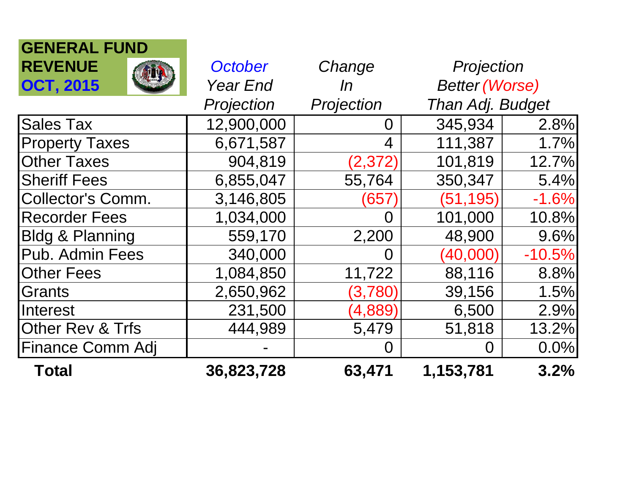| <b>GENERAL FUND</b>         |                 |            |                       |          |
|-----------------------------|-----------------|------------|-----------------------|----------|
| <b>REVENUE</b>              | October         | Change     | Projection            |          |
| <b>OCT, 2015</b>            | <b>Year End</b> | In         | <b>Better (Worse)</b> |          |
|                             | Projection      | Projection | Than Adj. Budget      |          |
| <b>Sales Tax</b>            | 12,900,000      | 0          | 345,934               | 2.8%     |
| <b>Property Taxes</b>       | 6,671,587       | 4          | 111,387               | 1.7%     |
| <b>Other Taxes</b>          | 904,819         | (2, 372)   | 101,819               | 12.7%    |
| <b>Sheriff Fees</b>         | 6,855,047       | 55,764     | 350,347               | 5.4%     |
| <b>Collector's Comm.</b>    | 3,146,805       | (657       | (51, 195)             | $-1.6%$  |
| <b>Recorder Fees</b>        | 1,034,000       | $\Omega$   | 101,000               | 10.8%    |
| <b>Bldg &amp; Planning</b>  | 559,170         | 2,200      | 48,900                | 9.6%     |
| Pub. Admin Fees             | 340,000         | $\Omega$   | (40,000)              | $-10.5%$ |
| <b>Other Fees</b>           | 1,084,850       | 11,722     | 88,116                | 8.8%     |
| Grants                      | 2,650,962       | (3,780)    | 39,156                | 1.5%     |
| Interest                    | 231,500         | (4,889)    | 6,500                 | 2.9%     |
| <b>Other Rev &amp; Trfs</b> | 444,989         | 5,479      | 51,818                | 13.2%    |
| Finance Comm Adj            |                 | O          | 0.0%<br>$\Omega$      |          |
| <b>Total</b>                | 36,823,728      | 63,471     | 1,153,781             | 3.2%     |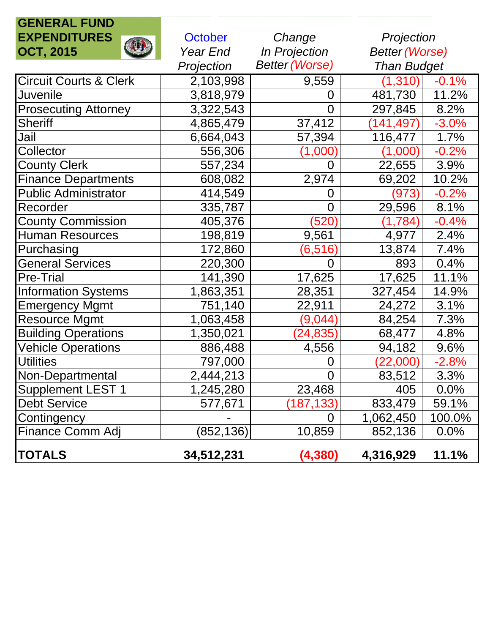| <b>GENERAL FUND</b>               |            |                       |                         |         |
|-----------------------------------|------------|-----------------------|-------------------------|---------|
| <b>EXPENDITURES</b>               | October    | Change                | Projection              |         |
| <b>AUR</b><br><b>OCT, 2015</b>    | Year End   | In Projection         | <b>Better (Worse)</b>   |         |
|                                   | Projection | <b>Better (Worse)</b> | <b>Than Budget</b>      |         |
| <b>Circuit Courts &amp; Clerk</b> | 2,103,998  | 9,559                 | (1, 310)                | $-0.1%$ |
| <b>Juvenile</b>                   | 3,818,979  | 0                     | 481,730                 | 11.2%   |
| <b>Prosecuting Attorney</b>       | 3,322,543  | 0                     | 297,845                 | 8.2%    |
| <b>Sheriff</b>                    | 4,865,479  | 37,412                | 141,497)                | $-3.0%$ |
| Jail                              | 6,664,043  | 57,394                | 116,477                 | 1.7%    |
| Collector                         | 556,306    | $(1{,}000)$           | (1,000)                 | $-0.2%$ |
| <b>County Clerk</b>               | 557,234    | 0                     | 22,655                  | 3.9%    |
| <b>Finance Departments</b>        | 608,082    | 2,974                 | 69,202                  | 10.2%   |
| <b>Public Administrator</b>       | 414,549    | O                     | (973)                   | $-0.2%$ |
| Recorder                          | 335,787    | $\overline{0}$        | 29,596                  | 8.1%    |
| <b>County Commission</b>          | 405,376    | (520)                 | (1,784)                 | $-0.4%$ |
| <b>Human Resources</b>            | 198,819    | 9,561                 | 4,977                   | 2.4%    |
| Purchasing                        | 172,860    | (6,516)               | 13,874                  | 7.4%    |
| <b>General Services</b>           | 220,300    | 0                     | 893                     | 0.4%    |
| <b>Pre-Trial</b>                  | 141,390    | 17,625                | 17,625                  | 11.1%   |
| <b>Information Systems</b>        | 1,863,351  | 28,351                | 327,454                 | 14.9%   |
| <b>Emergency Mgmt</b>             | 751,140    | 22,911                | 24,272                  | 3.1%    |
| <b>Resource Mgmt</b>              | 1,063,458  | (9,044)               | 84,254                  | 7.3%    |
| <b>Building Operations</b>        | 1,350,021  | (24, 835)             | 68,477                  | 4.8%    |
| <b>Vehicle Operations</b>         | 886,488    | 4,556                 | 94,182                  | 9.6%    |
| <b>Utilities</b>                  | 797,000    | O                     | $\left(22,\!000\right)$ | $-2.8%$ |
| Non-Departmental                  | 2,444,213  | $\overline{0}$        | 83,512                  | 3.3%    |
| <b>Supplement LEST 1</b>          | 1,245,280  | 23,468                | 405                     | 0.0%    |
| <b>Debt Service</b>               | 577,671    | (187, 133)            | 833,479                 | 59.1%   |
| Contingency                       |            | $\Omega$              | 1,062,450               | 100.0%  |
| Finance Comm Adj                  | (852, 136) | 10,859                | 852,136                 | 0.0%    |
| <b>TOTALS</b>                     | 34,512,231 | (4, 380)              | 4,316,929               | 11.1%   |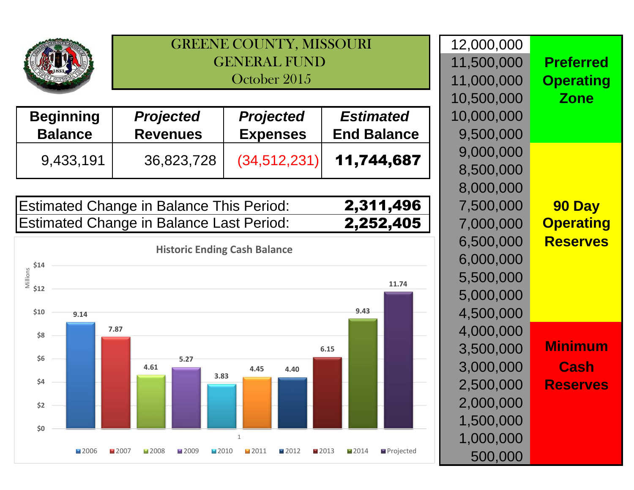

GREENE COUNTY, MISSOURIGENERAL FUND October 2015

| <b>Beginning</b> | <b>Projected</b> | <b>Projected</b> | <b>Estimated</b>   | 10,000,000 |
|------------------|------------------|------------------|--------------------|------------|
| <b>Balance</b>   | <b>Revenues</b>  | <b>Expenses</b>  | <b>End Balance</b> | 9,500,000  |
|                  |                  |                  |                    | 9,000,000  |
| 9,433,191        | 36,823,728       | (34, 512, 231)   | 11,744,687         | 8,500,000  |

| <b>Estimated Change in Balance This Period:</b> | 2,311,496 |
|-------------------------------------------------|-----------|
| <b>Estimated Change in Balance Last Period:</b> | 2,252,405 |



|                  | 12,000,000 |    |
|------------------|------------|----|
| <b>Preferred</b> | 11,500,000 |    |
| <b>Operating</b> | 11,000,000 |    |
| <b>Zone</b>      | 10,500,000 |    |
|                  | 10,000,000 |    |
|                  | 9,500,000  | е  |
|                  | 9,000,000  |    |
|                  | 8,500,000  | 7  |
|                  | 8,000,000  |    |
| 90 Day           | 7,500,000  | 6  |
| <b>Operating</b> | 7,000,000  | 5  |
| <b>Reserves</b>  | 6,500,000  |    |
|                  | 6,000,000  |    |
|                  | 5,500,000  |    |
|                  | 5,000,000  |    |
|                  | 4,500,000  |    |
|                  | 4,000,000  |    |
| Minimum          | 3,500,000  |    |
| Cash             | 3,000,000  |    |
| <b>Reserves</b>  | 2,500,000  |    |
|                  |            |    |
|                  | 2,000,000  |    |
|                  | 1,500,000  |    |
|                  | 1,000,000  | ٠d |
|                  | 500,000    |    |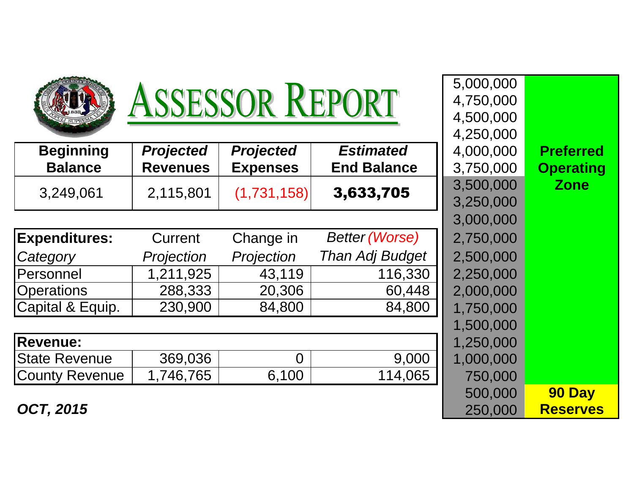| <b>ASSESSOR REPORT</b> |                  |                  |                       | 5,000,000<br>4,750,000<br>4,500,000 |                  |
|------------------------|------------------|------------------|-----------------------|-------------------------------------|------------------|
|                        |                  |                  |                       | 4,250,000                           |                  |
| <b>Beginning</b>       | <b>Projected</b> | <b>Projected</b> | <b>Estimated</b>      | 4,000,000                           | <b>Preferred</b> |
| <b>Balance</b>         | <b>Revenues</b>  | <b>Expenses</b>  | <b>End Balance</b>    | 3,750,000                           | <b>Operating</b> |
| 3,249,061              | 2,115,801        | (1,731,158)      | 3,633,705             | 3,500,000                           | <b>Zone</b>      |
|                        |                  |                  |                       | 3,250,000                           |                  |
|                        |                  |                  |                       | 3,000,000                           |                  |
| <b>Expenditures:</b>   | Current          | Change in        | <b>Better (Worse)</b> | 2,750,000                           |                  |
| Category               | Projection       | Projection       | Than Adj Budget       | 2,500,000                           |                  |
| Personnel              | 1,211,925        | 43,119           | 116,330               | 2,250,000                           |                  |
| <b>Operations</b>      | 288,333          | 20,306           | 60,448                | 2,000,000                           |                  |
| Capital & Equip.       | 230,900          | 84,800           | 84,800                | 1,750,000                           |                  |
|                        |                  |                  |                       | 1,500,000                           |                  |
| <b>Revenue:</b>        |                  |                  |                       | 1,250,000                           |                  |
| <b>State Revenue</b>   | 369,036          | $\overline{0}$   | 9,000                 | 1,000,000                           |                  |
| <b>County Revenue</b>  | 1,746,765        | 6,100            | 114,065               | 750,000                             |                  |
|                        |                  |                  |                       | 500,000                             | 90 Day           |
| <b>OCT, 2015</b>       |                  |                  |                       | 250,000                             | <b>Reserves</b>  |